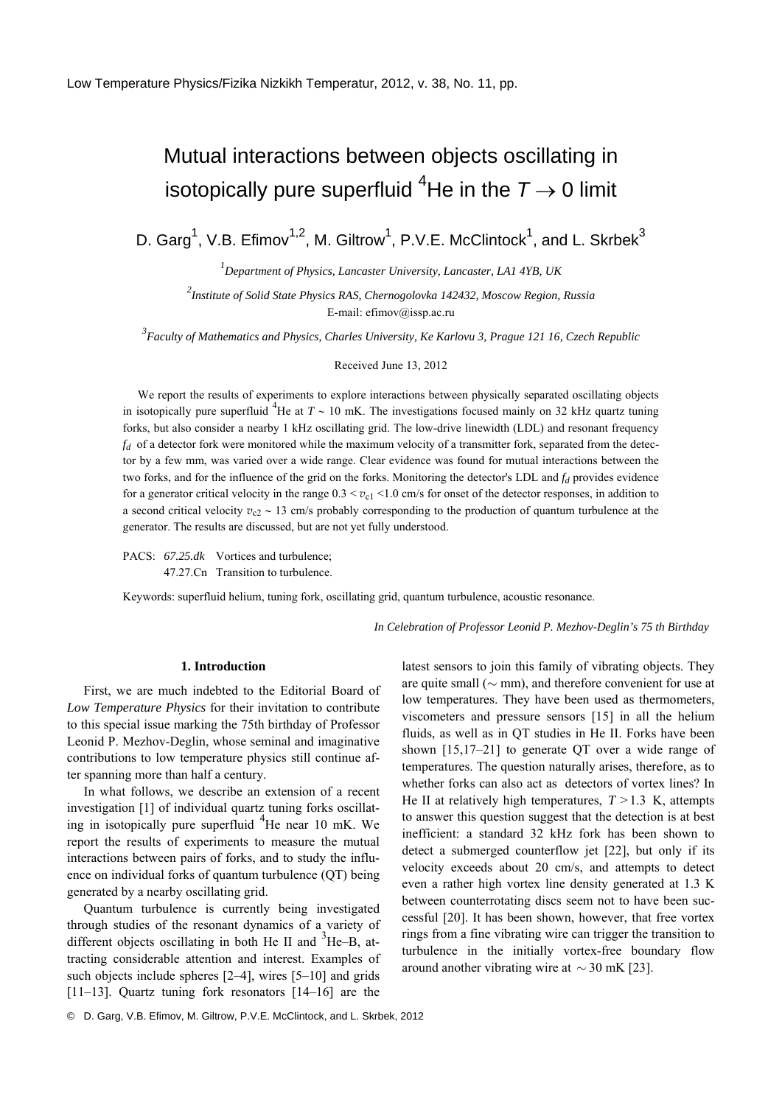## Mutual interactions between objects oscillating in isotopically pure superfluid <sup>4</sup>He in the  $T \rightarrow 0$  limit

D. Garg<sup>1</sup>, V.B. Efimov<sup>1,2</sup>, M. Giltrow<sup>1</sup>, P.V.E. McClintock<sup>1</sup>, and L. Skrbek<sup>3</sup>

*1 Department of Physics, Lancaster University, Lancaster, LA1 4YB, UK* 

*2 Institute of Solid State Physics RAS, Chernogolovka 142432, Moscow Region, Russia*  E-mail: efimov@issp.ac.ru

*3 Faculty of Mathematics and Physics, Charles University, Ke Karlovu 3, Prague 121 16, Czech Republic* 

Received June 13, 2012

We report the results of experiments to explore interactions between physically separated oscillating objects in isotopically pure superfluid <sup>4</sup>He at  $T \sim 10$  mK. The investigations focused mainly on 32 kHz quartz tuning forks, but also consider a nearby 1 kHz oscillating grid. The low-drive linewidth (LDL) and resonant frequency *fd* of a detector fork were monitored while the maximum velocity of a transmitter fork, separated from the detector by a few mm, was varied over a wide range. Clear evidence was found for mutual interactions between the two forks, and for the influence of the grid on the forks. Monitoring the detector's LDL and  $f_d$  provides evidence for a generator critical velocity in the range  $0.3 < v_{c1} < 1.0$  cm/s for onset of the detector responses, in addition to a second critical velocity *v*<sub>c2</sub> ∼ 13 cm/s probably corresponding to the production of quantum turbulence at the generator. The results are discussed, but are not yet fully understood.

PACS:  $67.25$ .dk Vortices and turbulence; 47.27.Сn Transition to turbulence.

Keywords: superfluid helium, tuning fork, oscillating grid, quantum turbulence, acoustic resonance.

*In Celebration of Professor Leonid P. Mezhov-Deglin's 75 th Birthday* 

## **1. Introduction**

First, we are much indebted to the Editorial Board of *Low Temperature Physics* for their invitation to contribute to this special issue marking the 75th birthday of Professor Leonid P. Mezhov-Deglin, whose seminal and imaginative contributions to low temperature physics still continue after spanning more than half a century.

In what follows, we describe an extension of a recent investigation [1] of individual quartz tuning forks oscillating in isotopically pure superfluid <sup>4</sup>He near 10 mK. We report the results of experiments to measure the mutual interactions between pairs of forks, and to study the influence on individual forks of quantum turbulence (QT) being generated by a nearby oscillating grid.

Quantum turbulence is currently being investigated through studies of the resonant dynamics of a variety of different objects oscillating in both He II and  ${}^{3}$ He–B, attracting considerable attention and interest. Examples of such objects include spheres [2–4], wires [5–10] and grids [11–13]. Quartz tuning fork resonators [14–16] are the latest sensors to join this family of vibrating objects. They are quite small (∼ mm), and therefore convenient for use at low temperatures. They have been used as thermometers, viscometers and pressure sensors [15] in all the helium fluids, as well as in QT studies in He II. Forks have been shown [15,17–21] to generate QT over a wide range of temperatures. The question naturally arises, therefore, as to whether forks can also act as detectors of vortex lines? In He II at relatively high temperatures,  $T > 1.3$  K, attempts to answer this question suggest that the detection is at best inefficient: a standard 32 kHz fork has been shown to detect a submerged counterflow jet [22], but only if its velocity exceeds about 20 cm/s, and attempts to detect even a rather high vortex line density generated at 1.3 K between counterrotating discs seem not to have been successful [20]. It has been shown, however, that free vortex rings from a fine vibrating wire can trigger the transition to turbulence in the initially vortex-free boundary flow around another vibrating wire at  $\sim$  30 mK [23].

© D. Garg, V.B. Efimov, M. Giltrow, P.V.E. McClintock, and L. Skrbek, 2012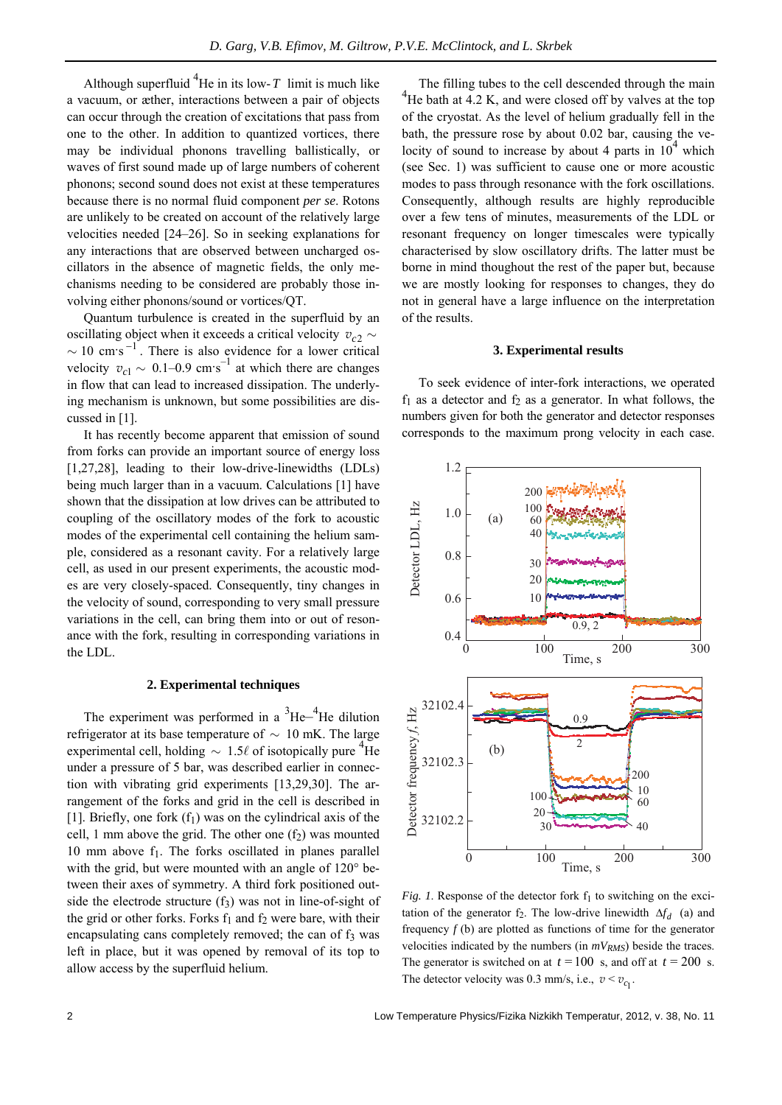Although superfluid  ${}^{4}$ He in its low-*T* limit is much like a vacuum, or æther, interactions between a pair of objects can occur through the creation of excitations that pass from one to the other. In addition to quantized vortices, there may be individual phonons travelling ballistically, or waves of first sound made up of large numbers of coherent phonons; second sound does not exist at these temperatures because there is no normal fluid component *per se*. Rotons are unlikely to be created on account of the relatively large velocities needed [24–26]. So in seeking explanations for any interactions that are observed between uncharged oscillators in the absence of magnetic fields, the only mechanisms needing to be considered are probably those involving either phonons/sound or vortices/QT.

Quantum turbulence is created in the superfluid by an oscillating object when it exceeds a critical velocity  $v_{c2} \sim$  $\sim$  10 cm·s<sup>-1</sup>. There is also evidence for a lower critical velocity  $v_{c1} \sim 0.1 - 0.9$  cm·s<sup>-1</sup> at which there are changes in flow that can lead to increased dissipation. The underlying mechanism is unknown, but some possibilities are discussed in [1].

It has recently become apparent that emission of sound from forks can provide an important source of energy loss [1,27,28], leading to their low-drive-linewidths (LDLs) being much larger than in a vacuum. Calculations [1] have shown that the dissipation at low drives can be attributed to coupling of the oscillatory modes of the fork to acoustic modes of the experimental cell containing the helium sample, considered as a resonant cavity. For a relatively large cell, as used in our present experiments, the acoustic modes are very closely-spaced. Consequently, tiny changes in the velocity of sound, corresponding to very small pressure variations in the cell, can bring them into or out of resonance with the fork, resulting in corresponding variations in the LDL.

## **2. Experimental techniques**

The experiment was performed in a  $3He^{-4}He$  dilution refrigerator at its base temperature of ∼ 10 mK. The large experimental cell, holding  $\sim 1.5\ell$  of isotopically pure <sup>4</sup>He under a pressure of 5 bar, was described earlier in connection with vibrating grid experiments [13,29,30]. The arrangement of the forks and grid in the cell is described in [1]. Briefly, one fork  $(f_1)$  was on the cylindrical axis of the cell, 1 mm above the grid. The other one  $(f_2)$  was mounted 10 mm above  $f_1$ . The forks oscillated in planes parallel with the grid, but were mounted with an angle of 120° between their axes of symmetry. A third fork positioned outside the electrode structure  $(f_3)$  was not in line-of-sight of the grid or other forks. Forks  $f_1$  and  $f_2$  were bare, with their encapsulating cans completely removed; the can of  $f_3$  was left in place, but it was opened by removal of its top to allow access by the superfluid helium.

The filling tubes to the cell descended through the main 4  $^{4}$ He bath at 4.2 K, and were closed off by valves at the top of the cryostat. As the level of helium gradually fell in the bath, the pressure rose by about 0.02 bar, causing the velocity of sound to increase by about 4 parts in  $10^4$  which (see Sec. 1) was sufficient to cause one or more acoustic modes to pass through resonance with the fork oscillations. Consequently, although results are highly reproducible over a few tens of minutes, measurements of the LDL or resonant frequency on longer timescales were typically characterised by slow oscillatory drifts. The latter must be borne in mind thoughout the rest of the paper but, because we are mostly looking for responses to changes, they do not in general have a large influence on the interpretation of the results.

## **3. Experimental results**

To seek evidence of inter-fork interactions, we operated  $f_1$  as a detector and  $f_2$  as a generator. In what follows, the numbers given for both the generator and detector responses corresponds to the maximum prong velocity in each case.



*Fig. 1*. Response of the detector fork  $f_1$  to switching on the excitation of the generator  $f_2$ . The low-drive linewidth  $\Delta f_d$  (a) and frequency *f* (b) are plotted as functions of time for the generator velocities indicated by the numbers (in  $mV_{RMS}$ ) beside the traces. The generator is switched on at  $t = 100$  s, and off at  $t = 200$  s. The detector velocity was 0.3 mm/s, i.e.,  $v < v_{c_1}$ .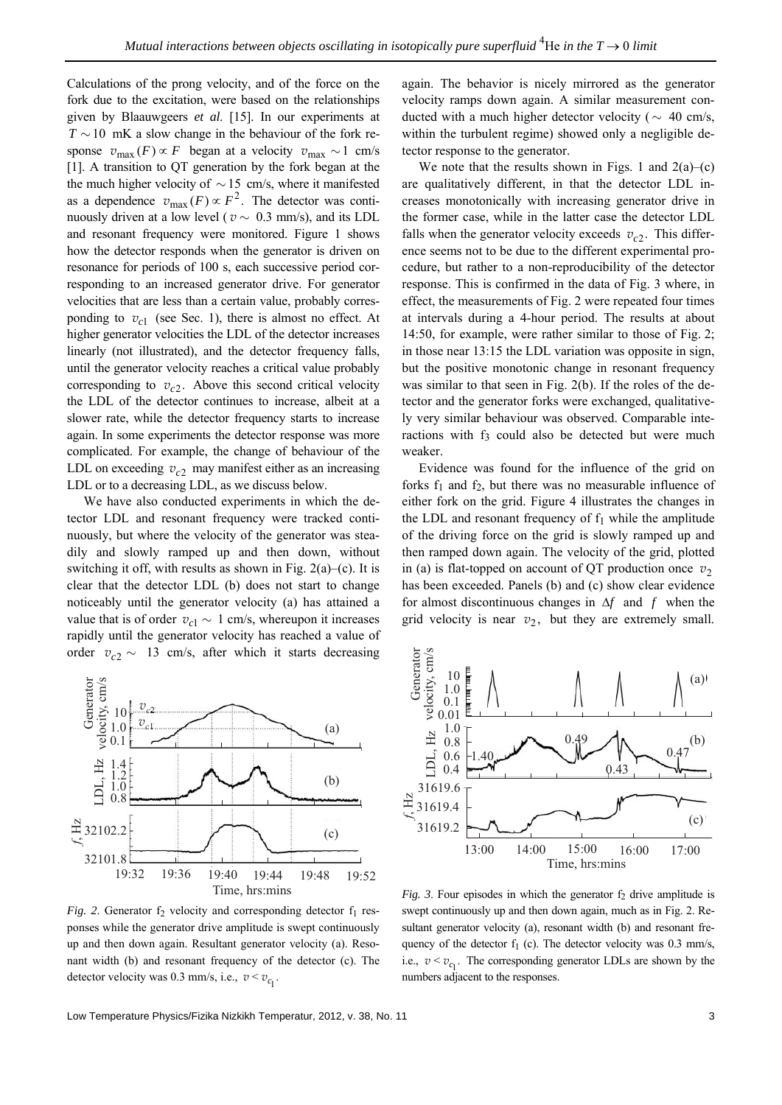Calculations of the prong velocity, and of the force on the fork due to the excitation, were based on the relationships given by Blaauwgeers *et al*. [15]. In our experiments at *T* ∼10 mK a slow change in the behaviour of the fork response  $v_{\text{max}}(F) \propto F$  began at a velocity  $v_{\text{max}} \sim 1$  cm/s [1]. A transition to QT generation by the fork began at the the much higher velocity of  $\sim$  15 cm/s, where it manifested as a dependence  $v_{\text{max}}(F) \propto F^2$ . The detector was continuously driven at a low level ( $v \sim 0.3$  mm/s), and its LDL and resonant frequency were monitored. Figure 1 shows how the detector responds when the generator is driven on resonance for periods of 100 s, each successive period corresponding to an increased generator drive. For generator velocities that are less than a certain value, probably corresponding to  $v_{c1}$  (see Sec. 1), there is almost no effect. At higher generator velocities the LDL of the detector increases linearly (not illustrated), and the detector frequency falls, until the generator velocity reaches a critical value probably corresponding to  $v_{c2}$ . Above this second critical velocity the LDL of the detector continues to increase, albeit at a slower rate, while the detector frequency starts to increase again. In some experiments the detector response was more complicated. For example, the change of behaviour of the LDL on exceeding  $v_c$  may manifest either as an increasing LDL or to a decreasing LDL, as we discuss below.

We have also conducted experiments in which the detector LDL and resonant frequency were tracked continuously, but where the velocity of the generator was steadily and slowly ramped up and then down, without switching it off, with results as shown in Fig. 2(a)–(c). It is clear that the detector LDL (b) does not start to change noticeably until the generator velocity (a) has attained a value that is of order  $v_{c1}$  ∼ 1 cm/s, whereupon it increases rapidly until the generator velocity has reached a value of order  $v_{c2} \sim 13$  cm/s, after which it starts decreasing again. The behavior is nicely mirrored as the generator velocity ramps down again. A similar measurement conducted with a much higher detector velocity ( $\sim$  40 cm/s, within the turbulent regime) showed only a negligible detector response to the generator.

We note that the results shown in Figs. 1 and  $2(a)$ –(c) are qualitatively different, in that the detector LDL increases monotonically with increasing generator drive in the former case, while in the latter case the detector LDL falls when the generator velocity exceeds  $v_c$ . This difference seems not to be due to the different experimental procedure, but rather to a non-reproducibility of the detector response. This is confirmed in the data of Fig. 3 where, in effect, the measurements of Fig. 2 were repeated four times at intervals during a 4-hour period. The results at about 14:50, for example, were rather similar to those of Fig. 2; in those near 13:15 the LDL variation was opposite in sign, but the positive monotonic change in resonant frequency was similar to that seen in Fig. 2(b). If the roles of the detector and the generator forks were exchanged, qualitatively very similar behaviour was observed. Comparable interactions with f<sub>3</sub> could also be detected but were much weaker.

Evidence was found for the influence of the grid on forks  $f_1$  and  $f_2$ , but there was no measurable influence of either fork on the grid. Figure 4 illustrates the changes in the LDL and resonant frequency of  $f_1$  while the amplitude of the driving force on the grid is slowly ramped up and then ramped down again. The velocity of the grid, plotted in (a) is flat-topped on account of QT production once  $v_2$ has been exceeded. Panels (b) and (c) show clear evidence for almost discontinuous changes in Δ*f* and *f* when the grid velocity is near  $v_2$ , but they are extremely small.



*Fig.* 2. Generator  $f_2$  velocity and corresponding detector  $f_1$  responses while the generator drive amplitude is swept continuously up and then down again. Resultant generator velocity (a). Resonant width (b) and resonant frequency of the detector (c). The detector velocity was 0.3 mm/s, i.e.,  $v < v_{c_1}$ .



*Fig. 3.* Four episodes in which the generator  $f_2$  drive amplitude is swept continuously up and then down again, much as in Fig. 2. Resultant generator velocity (a), resonant width (b) and resonant frequency of the detector  $f_1$  (c). The detector velocity was 0.3 mm/s, i.e.,  $v < v_{c_1}$ . The corresponding generator LDLs are shown by the numbers adjacent to the responses.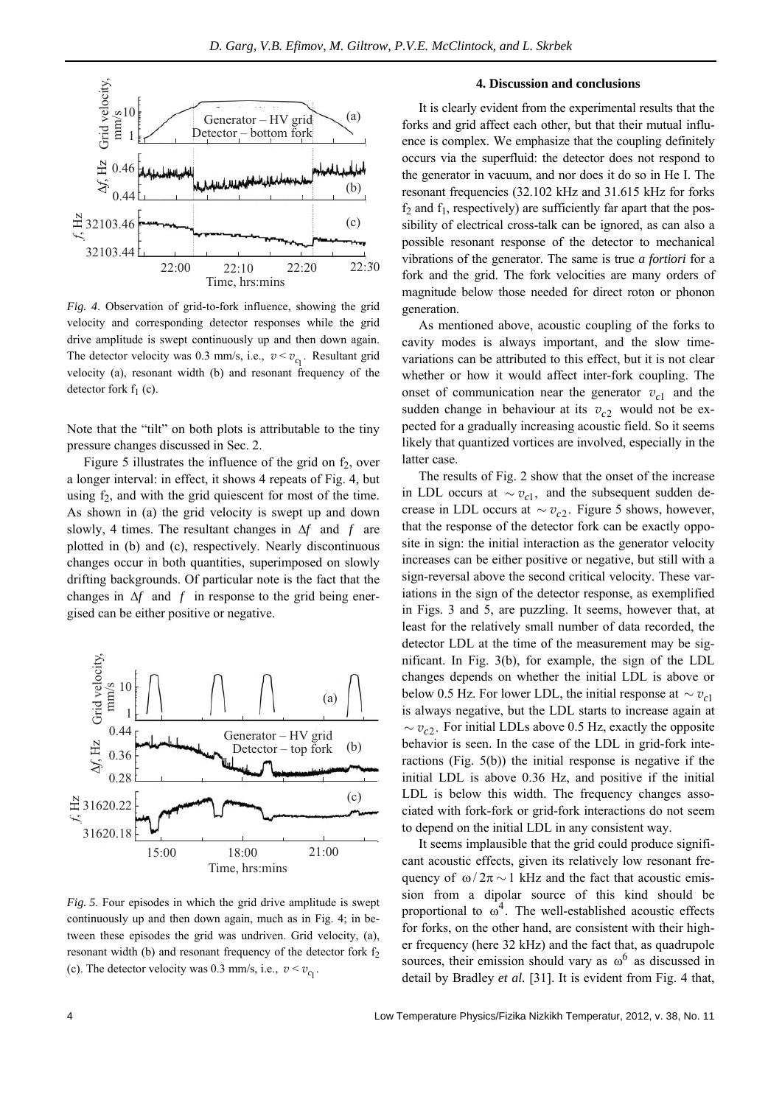

*Fig. 4*. Observation of grid-to-fork influence, showing the grid velocity and corresponding detector responses while the grid drive amplitude is swept continuously up and then down again. The detector velocity was 0.3 mm/s, i.e.,  $v < v_{c_1}$ . Resultant grid velocity (a), resonant width (b) and resonant frequency of the detector fork  $f_1$  (c).

Note that the "tilt" on both plots is attributable to the tiny pressure changes discussed in Sec. 2.

Figure 5 illustrates the influence of the grid on  $f_2$ , over a longer interval: in effect, it shows 4 repeats of Fig. 4, but using  $f_2$ , and with the grid quiescent for most of the time. As shown in (a) the grid velocity is swept up and down slowly, 4 times. The resultant changes in Δ*f* and *f* are plotted in (b) and (c), respectively. Nearly discontinuous changes occur in both quantities, superimposed on slowly drifting backgrounds. Of particular note is the fact that the changes in  $\Delta f$  and  $f$  in response to the grid being energised can be either positive or negative.



*Fig. 5*. Four episodes in which the grid drive amplitude is swept continuously up and then down again, much as in Fig. 4; in between these episodes the grid was undriven. Grid velocity, (a), resonant width (b) and resonant frequency of the detector fork  $f_2$ (c). The detector velocity was 0.3 mm/s, i.e.,  $v < v_{c_1}$ .

It is clearly evident from the experimental results that the forks and grid affect each other, but that their mutual influence is complex. We emphasize that the coupling definitely occurs via the superfluid: the detector does not respond to the generator in vacuum, and nor does it do so in He I. The resonant frequencies (32.102 kHz and 31.615 kHz for forks  $f_2$  and  $f_1$ , respectively) are sufficiently far apart that the possibility of electrical cross-talk can be ignored, as can also a possible resonant response of the detector to mechanical vibrations of the generator. The same is true *a fortiori* for a fork and the grid. The fork velocities are many orders of magnitude below those needed for direct roton or phonon generation.

As mentioned above, acoustic coupling of the forks to cavity modes is always important, and the slow timevariations can be attributed to this effect, but it is not clear whether or how it would affect inter-fork coupling. The onset of communication near the generator  $v_{c1}$  and the sudden change in behaviour at its  $v_{c2}$  would not be expected for a gradually increasing acoustic field. So it seems likely that quantized vortices are involved, especially in the latter case.

The results of Fig. 2 show that the onset of the increase in LDL occurs at  $\sim v_{c1}$ , and the subsequent sudden decrease in LDL occurs at  $\sim v_{c2}$ . Figure 5 shows, however, that the response of the detector fork can be exactly opposite in sign: the initial interaction as the generator velocity increases can be either positive or negative, but still with a sign-reversal above the second critical velocity. These variations in the sign of the detector response, as exemplified in Figs. 3 and 5, are puzzling. It seems, however that, at least for the relatively small number of data recorded, the detector LDL at the time of the measurement may be significant. In Fig. 3(b), for example, the sign of the LDL changes depends on whether the initial LDL is above or below 0.5 Hz. For lower LDL, the initial response at  $\sim v_{c1}$ is always negative, but the LDL starts to increase again at  $\sim v_{c2}$ . For initial LDLs above 0.5 Hz, exactly the opposite behavior is seen. In the case of the LDL in grid-fork interactions (Fig. 5(b)) the initial response is negative if the initial LDL is above 0.36 Hz, and positive if the initial LDL is below this width. The frequency changes associated with fork-fork or grid-fork interactions do not seem to depend on the initial LDL in any consistent way.

It seems implausible that the grid could produce significant acoustic effects, given its relatively low resonant frequency of  $\omega/2\pi \sim 1$  kHz and the fact that acoustic emission from a dipolar source of this kind should be proportional to  $\omega^4$ . The well-established acoustic effects for forks, on the other hand, are consistent with their higher frequency (here 32 kHz) and the fact that, as quadrupole sources, their emission should vary as  $\omega^6$  as discussed in detail by Bradley *et al.* [31]. It is evident from Fig. 4 that,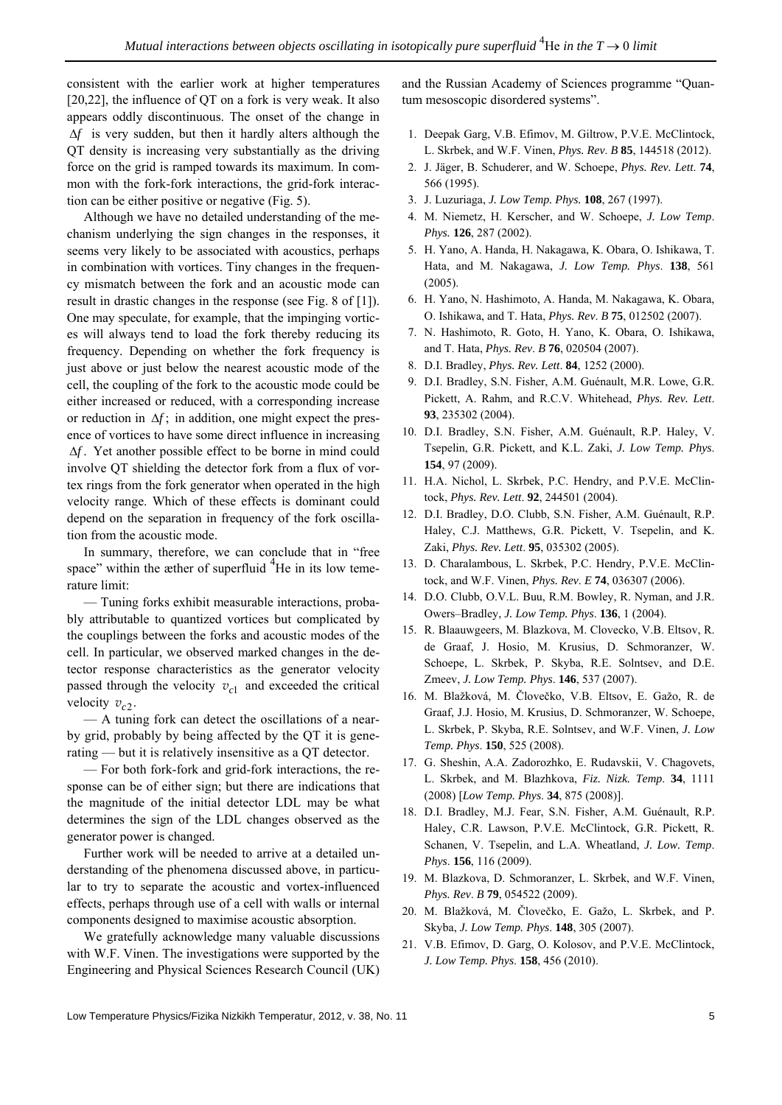consistent with the earlier work at higher temperatures [20,22], the influence of QT on a fork is very weak. It also appears oddly discontinuous. The onset of the change in Δ*f* is very sudden, but then it hardly alters although the QT density is increasing very substantially as the driving force on the grid is ramped towards its maximum. In common with the fork-fork interactions, the grid-fork interaction can be either positive or negative (Fig. 5).

Although we have no detailed understanding of the mechanism underlying the sign changes in the responses, it seems very likely to be associated with acoustics, perhaps in combination with vortices. Tiny changes in the frequency mismatch between the fork and an acoustic mode can result in drastic changes in the response (see Fig. 8 of [1]). One may speculate, for example, that the impinging vortices will always tend to load the fork thereby reducing its frequency. Depending on whether the fork frequency is just above or just below the nearest acoustic mode of the cell, the coupling of the fork to the acoustic mode could be either increased or reduced, with a corresponding increase or reduction in  $\Delta f$ ; in addition, one might expect the presence of vortices to have some direct influence in increasing Δ*f* . Yet another possible effect to be borne in mind could involve QT shielding the detector fork from a flux of vortex rings from the fork generator when operated in the high velocity range. Which of these effects is dominant could depend on the separation in frequency of the fork oscillation from the acoustic mode.

In summary, therefore, we can conclude that in "free space" within the æther of superfluid  $4$ He in its low temerature limit:

— Tuning forks exhibit measurable interactions, probably attributable to quantized vortices but complicated by the couplings between the forks and acoustic modes of the cell. In particular, we observed marked changes in the detector response characteristics as the generator velocity passed through the velocity  $v_{c1}$  and exceeded the critical velocity  $v_{c2}$ .

— A tuning fork can detect the oscillations of a nearby grid, probably by being affected by the QT it is generating — but it is relatively insensitive as a QT detector.

— For both fork-fork and grid-fork interactions, the response can be of either sign; but there are indications that the magnitude of the initial detector LDL may be what determines the sign of the LDL changes observed as the generator power is changed.

Further work will be needed to arrive at a detailed understanding of the phenomena discussed above, in particular to try to separate the acoustic and vortex-influenced effects, perhaps through use of a cell with walls or internal components designed to maximise acoustic absorption.

We gratefully acknowledge many valuable discussions with W.F. Vinen. The investigations were supported by the Engineering and Physical Sciences Research Council (UK) and the Russian Academy of Sciences programme "Quantum mesoscopic disordered systems".

- 1. Deepak Garg, V.B. Efimov, M. Giltrow, P.V.E. McClintock, L. Skrbek, and W.F. Vinen, *Phys. Rev*. *B* **85**, 144518 (2012).
- 2. J. Jäger, B. Schuderer, and W. Schoepe, *Phys. Rev. Lett*. **74**, 566 (1995).
- 3. J. Luzuriaga, *J. Low Temp. Phys.* **108**, 267 (1997).
- 4. M. Niemetz, H. Kerscher, and W. Schoepe, *J. Low Temp*. *Phys.* **126**, 287 (2002).
- 5. H. Yano, A. Handa, H. Nakagawa, K. Obara, O. Ishikawa, T. Hata, and M. Nakagawa, *J. Low Temp. Phys*. **138**, 561 (2005).
- 6. H. Yano, N. Hashimoto, A. Handa, M. Nakagawa, K. Obara, O. Ishikawa, and T. Hata, *Phys. Rev*. *B* **75**, 012502 (2007).
- 7. N. Hashimoto, R. Goto, H. Yano, K. Obara, O. Ishikawa, and T. Hata, *Phys. Rev*. *B* **76**, 020504 (2007).
- 8. D.I. Bradley, *Phys. Rev. Lett*. **84**, 1252 (2000).
- 9. D.I. Bradley, S.N. Fisher, A.M. Guénault, M.R. Lowe, G.R. Pickett, A. Rahm, and R.C.V. Whitehead, *Phys. Rev. Lett*. **93**, 235302 (2004).
- 10. D.I. Bradley, S.N. Fisher, A.M. Guénault, R.P. Haley, V. Tsepelin, G.R. Pickett, and K.L. Zaki, *J. Low Temp. Phys*. **154**, 97 (2009).
- 11. H.A. Nichol, L. Skrbek, P.C. Hendry, and P.V.E. McClintock, *Phys. Rev. Lett*. **92**, 244501 (2004).
- 12. D.I. Bradley, D.O. Clubb, S.N. Fisher, A.M. Guénault, R.P. Haley, C.J. Matthews, G.R. Pickett, V. Tsepelin, and K. Zaki, *Phys. Rev. Lett*. **95**, 035302 (2005).
- 13. D. Charalambous, L. Skrbek, P.C. Hendry, P.V.E. McClintock, and W.F. Vinen, *Phys. Rev*. *E* **74**, 036307 (2006).
- 14. D.O. Clubb, O.V.L. Buu, R.M. Bowley, R. Nyman, and J.R. Owers–Bradley, *J. Low Temp. Phys*. **136**, 1 (2004).
- 15. R. Blaauwgeers, M. Blazkova, M. Clovecko, V.B. Eltsov, R. de Graaf, J. Hosio, M. Krusius, D. Schmoranzer, W. Schoepe, L. Skrbek, P. Skyba, R.E. Solntsev, and D.E. Zmeev, *J. Low Temp. Phys*. **146**, 537 (2007).
- 16. M. Blažková, M. Človečko, V.B. Eltsov, E. Gažo, R. de Graaf, J.J. Hosio, M. Krusius, D. Schmoranzer, W. Schoepe, L. Skrbek, P. Skyba, R.E. Solntsev, and W.F. Vinen, *J. Low Temp. Phys*. **150**, 525 (2008).
- 17. G. Sheshin, A.A. Zadorozhko, E. Rudavskii, V. Chagovets, L. Skrbek, and M. Blazhkova, *Fiz. Nizk. Temp*. **34**, 1111 (2008) [*Low Temp. Phys*. **34**, 875 (2008)].
- 18. D.I. Bradley, M.J. Fear, S.N. Fisher, A.M. Guénault, R.P. Haley, C.R. Lawson, P.V.E. McClintock, G.R. Pickett, R. Schanen, V. Tsepelin, and L.A. Wheatland, *J. Low. Temp*. *Phys*. **156**, 116 (2009).
- 19. M. Blazkova, D. Schmoranzer, L. Skrbek, and W.F. Vinen, *Phys. Rev*. *B* **79**, 054522 (2009).
- 20. M. Blažková, M. Človečko, E. Gažo, L. Skrbek, and P. Skyba, *J. Low Temp. Phys*. **148**, 305 (2007).
- 21. V.B. Efimov, D. Garg, O. Kolosov, and P.V.E. McClintock, *J. Low Temp. Phys*. **158**, 456 (2010).